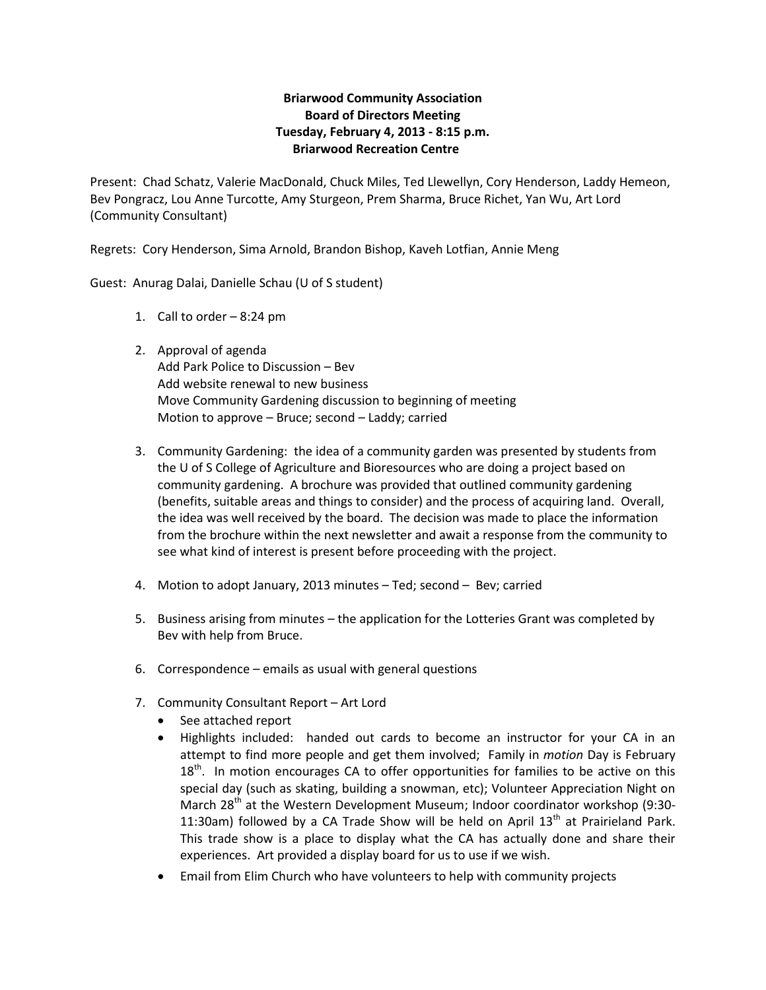## **Briarwood Community Association Board of Directors Meeting Tuesday, February 4, 2013 - 8:15 p.m. Briarwood Recreation Centre**

Present: Chad Schatz, Valerie MacDonald, Chuck Miles, Ted Llewellyn, Cory Henderson, Laddy Hemeon, Bev Pongracz, Lou Anne Turcotte, Amy Sturgeon, Prem Sharma, Bruce Richet, Yan Wu, Art Lord (Community Consultant)

Regrets: Cory Henderson, Sima Arnold, Brandon Bishop, Kaveh Lotfian, Annie Meng

Guest: Anurag Dalai, Danielle Schau (U of S student)

- 1. Call to order 8:24 pm
- 2. Approval of agenda Add Park Police to Discussion – Bev Add website renewal to new business Move Community Gardening discussion to beginning of meeting Motion to approve – Bruce; second – Laddy; carried
- 3. Community Gardening: the idea of a community garden was presented by students from the U of S College of Agriculture and Bioresources who are doing a project based on community gardening. A brochure was provided that outlined community gardening (benefits, suitable areas and things to consider) and the process of acquiring land. Overall, the idea was well received by the board. The decision was made to place the information from the brochure within the next newsletter and await a response from the community to see what kind of interest is present before proceeding with the project.
- 4. Motion to adopt January, 2013 minutes Ted; second Bev; carried
- 5. Business arising from minutes the application for the Lotteries Grant was completed by Bev with help from Bruce.
- 6. Correspondence emails as usual with general questions
- 7. Community Consultant Report Art Lord
	- See attached report
	- Highlights included: handed out cards to become an instructor for your CA in an attempt to find more people and get them involved; Family in *motion* Day is February  $18<sup>th</sup>$ . In motion encourages CA to offer opportunities for families to be active on this special day (such as skating, building a snowman, etc); Volunteer Appreciation Night on March  $28<sup>th</sup>$  at the Western Development Museum; Indoor coordinator workshop (9:30-11:30am) followed by a CA Trade Show will be held on April  $13<sup>th</sup>$  at Prairieland Park. This trade show is a place to display what the CA has actually done and share their experiences. Art provided a display board for us to use if we wish.
	- Email from Elim Church who have volunteers to help with community projects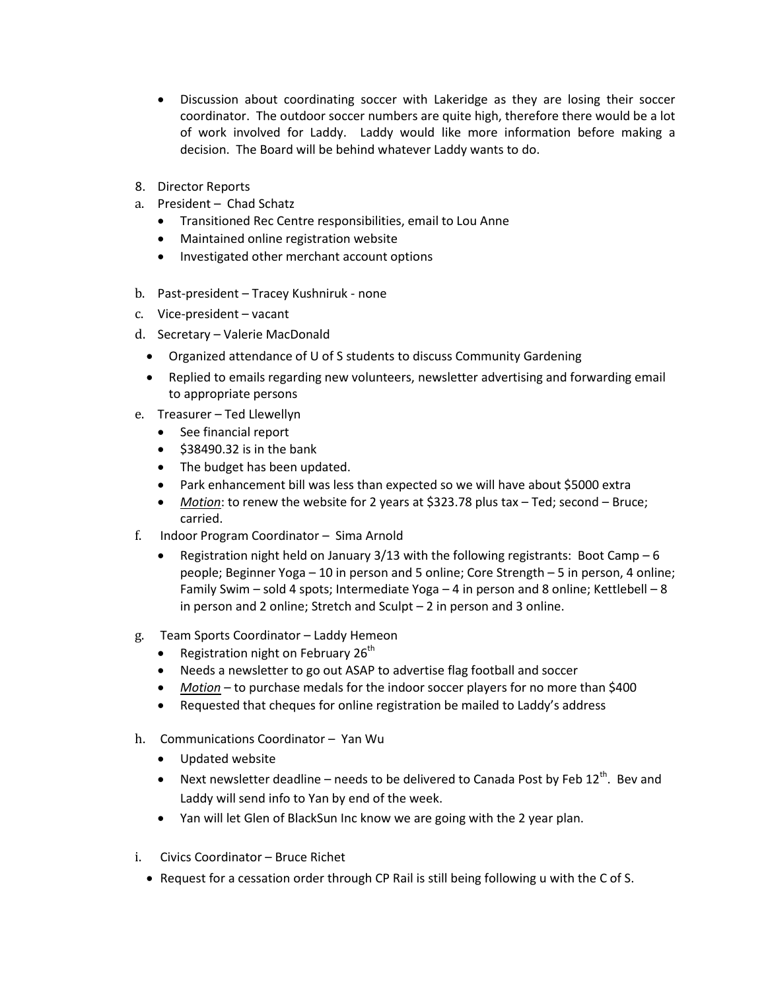- Discussion about coordinating soccer with Lakeridge as they are losing their soccer coordinator. The outdoor soccer numbers are quite high, therefore there would be a lot of work involved for Laddy. Laddy would like more information before making a decision. The Board will be behind whatever Laddy wants to do.
- 8. Director Reports
- a. President Chad Schatz
	- Transitioned Rec Centre responsibilities, email to Lou Anne
	- Maintained online registration website
	- Investigated other merchant account options
- b. Past-president Tracey Kushniruk none
- c. Vice-president vacant
- d. Secretary Valerie MacDonald
	- Organized attendance of U of S students to discuss Community Gardening
	- Replied to emails regarding new volunteers, newsletter advertising and forwarding email to appropriate persons
- e. Treasurer Ted Llewellyn
	- See financial report
	- $\bullet$  \$38490.32 is in the bank
	- The budget has been updated.
	- Park enhancement bill was less than expected so we will have about \$5000 extra
	- *Motion*: to renew the website for 2 years at \$323.78 plus tax Ted; second Bruce; carried.
- f. Indoor Program Coordinator Sima Arnold
	- Registration night held on January 3/13 with the following registrants: Boot Camp  $-6$ people; Beginner Yoga – 10 in person and 5 online; Core Strength – 5 in person, 4 online; Family Swim – sold 4 spots; Intermediate Yoga – 4 in person and 8 online; Kettlebell – 8 in person and 2 online; Stretch and Sculpt – 2 in person and 3 online.
- g. Team Sports Coordinator Laddy Hemeon
	- Registration night on February  $26<sup>th</sup>$
	- Needs a newsletter to go out ASAP to advertise flag football and soccer
	- *Motion* to purchase medals for the indoor soccer players for no more than \$400
	- Requested that cheques for online registration be mailed to Laddy's address
- h. Communications Coordinator Yan Wu
	- Updated website
	- Next newsletter deadline needs to be delivered to Canada Post by Feb 12<sup>th</sup>. Bev and Laddy will send info to Yan by end of the week.
	- Yan will let Glen of BlackSun Inc know we are going with the 2 year plan.
- i. Civics Coordinator Bruce Richet
	- Request for a cessation order through CP Rail is still being following u with the C of S.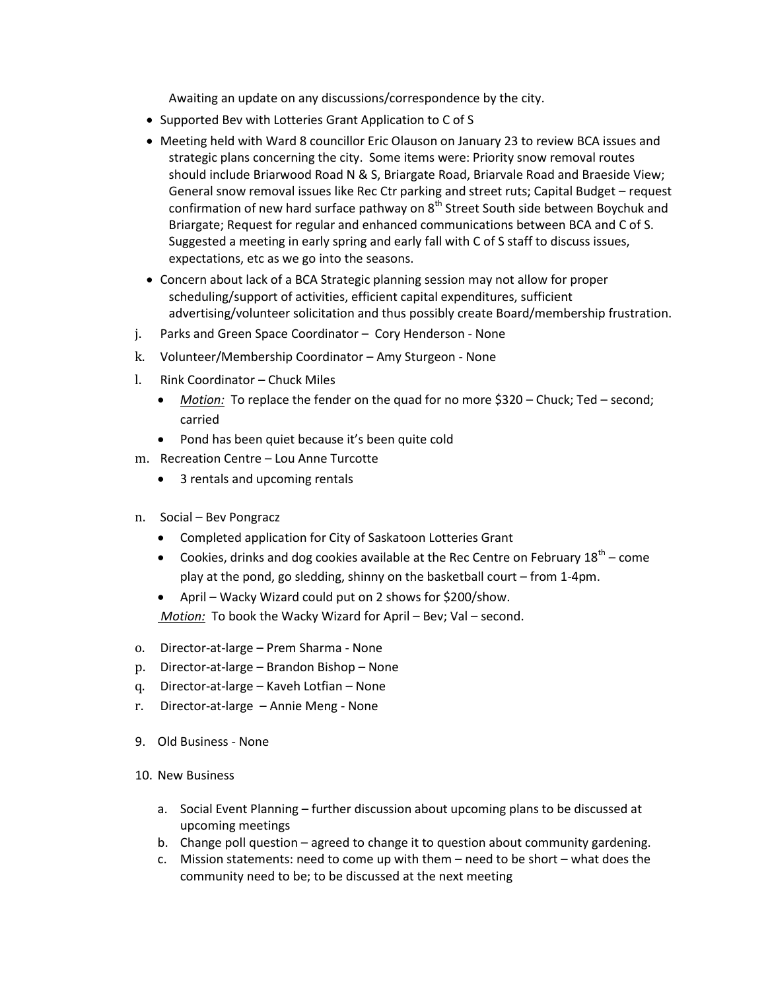Awaiting an update on any discussions/correspondence by the city.

- Supported Bev with Lotteries Grant Application to C of S
- Meeting held with Ward 8 councillor Eric Olauson on January 23 to review BCA issues and strategic plans concerning the city. Some items were: Priority snow removal routes should include Briarwood Road N & S, Briargate Road, Briarvale Road and Braeside View; General snow removal issues like Rec Ctr parking and street ruts; Capital Budget – request confirmation of new hard surface pathway on  $8<sup>th</sup>$  Street South side between Boychuk and Briargate; Request for regular and enhanced communications between BCA and C of S. Suggested a meeting in early spring and early fall with C of S staff to discuss issues, expectations, etc as we go into the seasons.
- Concern about lack of a BCA Strategic planning session may not allow for proper scheduling/support of activities, efficient capital expenditures, sufficient advertising/volunteer solicitation and thus possibly create Board/membership frustration.
- j. Parks and Green Space Coordinator Cory Henderson None
- k. Volunteer/Membership Coordinator Amy Sturgeon None
- l. Rink Coordinator Chuck Miles
	- *Motion:* To replace the fender on the quad for no more \$320 Chuck; Ted second; carried
	- Pond has been quiet because it's been quite cold
- m. Recreation Centre Lou Anne Turcotte
	- 3 rentals and upcoming rentals
- n. Social Bev Pongracz
	- Completed application for City of Saskatoon Lotteries Grant
	- Cookies, drinks and dog cookies available at the Rec Centre on February  $18^{th}$  come play at the pond, go sledding, shinny on the basketball court – from 1-4pm.
	- April Wacky Wizard could put on 2 shows for \$200/show.

*Motion:* To book the Wacky Wizard for April – Bev; Val – second.

- o. Director-at-large Prem Sharma None
- p. Director-at-large Brandon Bishop None
- q. Director-at-large Kaveh Lotfian None
- r. Director-at-large Annie Meng None
- 9. Old Business None
- 10. New Business
	- a. Social Event Planning further discussion about upcoming plans to be discussed at upcoming meetings
	- b. Change poll question agreed to change it to question about community gardening.
	- c. Mission statements: need to come up with them need to be short what does the community need to be; to be discussed at the next meeting